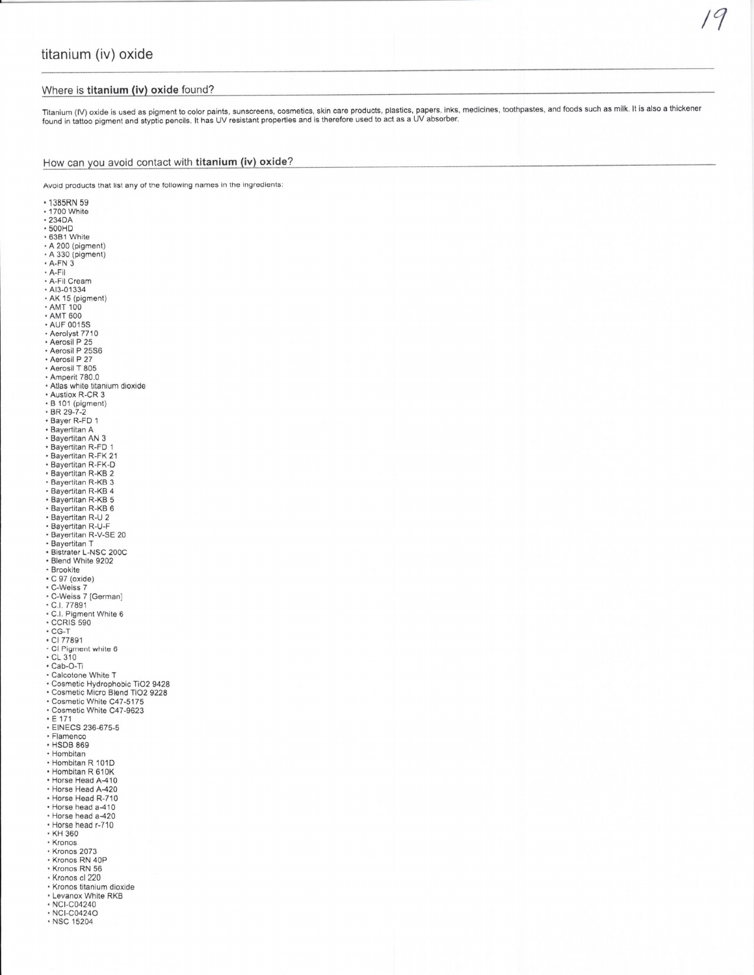# Where is titanium (iv) oxide found?

Titanium (IV) oxide is used as pigment to color paints, sunscreens, cosmetics, skin care products, plastics, papers, inks, medicines, toothpastes, and foods such as milk. It is also a thickener<br>found in tattoo pigment and

19

# How can you avoid contact with titanium (iv) oxide?

ng names in the ingredients:

| Avoid products that list any of the following |
|-----------------------------------------------|
| • 1385RN 59                                   |
| • 1700 White                                  |
| $\cdot$ 234DA                                 |
| • 500HD                                       |
| • 63B1 White                                  |
| $\cdot$ A 200 (pigment)<br>• A 330 (pigment)  |
| $\cdot$ A-FN 3                                |
| • A-Fil                                       |
| • A-Fil Cream                                 |
| · AI3-01334                                   |
| • AK 15 (pigment)                             |
| <b>• AMT 100</b>                              |
| · AMT 600<br><b>AUF 0015S</b>                 |
| • Aerolyst 7710                               |
| • Aerosil P 25                                |
| · Aerosil P 25S6                              |
| + Aerosil P 27                                |
| • Aerosil T 805                               |
| · Amperit 780.0                               |
| • Atlas white titanium dioxide                |
| • Austiox R-CR 3                              |
| • B 101 (pigment)<br>• BR 29-7-2              |
| • Bayer R-FD 1                                |
| • Bayertitan A                                |
| • Bayertitan AN 3                             |
| • Bayertitan R-FD 1                           |
| • Bayertitan R-FK 21                          |
| · Bayertitan R-FK-D                           |
| • Bayertitan R-KB 2                           |
| • Bayertitan R-KB 3<br>• Bayertitan R-KB 4    |
| • Bayertitan R-KB 5                           |
| • Bayertitan R-KB 6                           |
| • Bayertitan R-U 2                            |
| • Bayertitan R-U-F                            |
| • Bayertitan R-V-SE 20                        |
| • Bayertitan T                                |
| • Bistrater L-NSC 200C<br>• Blend White 9202  |
| · Brookite                                    |
| $\cdot$ C 97 (oxide)                          |
| • C-Weiss 7                                   |
| · C-Weiss 7 [German]                          |
| * C.I. 77891<br>* C.I. Pigment White 6        |
|                                               |
| <b>CCRIS 590</b>                              |
| $\cdot$ CG-T<br>• CI 77891                    |
| • CI Pigment white 6                          |
| $\cdot$ CL 310                                |
| $\cdot$ Cab-O-Ti                              |
| • Calcotone White T                           |
| · Cosmetic Hydrophobic TiO2 9428              |
| · Cosmetic Micro Blend TiO2 9228              |
| - Cosmetic White C47-5175                     |
| • Cosmetic White C47-9623<br>$E$ 171          |
| • EINECS 236-675-5                            |
| <b>Flamenco</b>                               |
| · HSDB 869                                    |
| • Hombitan                                    |
| · Hombitan R 101D                             |
| • Hombitan R 610K                             |
| • Horse Head A-410<br>• Horse Head A-420      |
| • Horse Head R-710                            |
| • Horse head a-410                            |
| • Horse head a-420                            |
| • Horse head r-710                            |
| • KH 360                                      |
| • Kronos                                      |
| · Kronos 2073                                 |
| · Kronos RN 40P<br>· Kronos RN 56             |
| - Kronos cl 220                               |
| * Kronos titanium dioxide                     |
| • Levanox White RKB                           |
| • NCI-C04240                                  |
| · NCI-C0424O                                  |
| • NSC 15204                                   |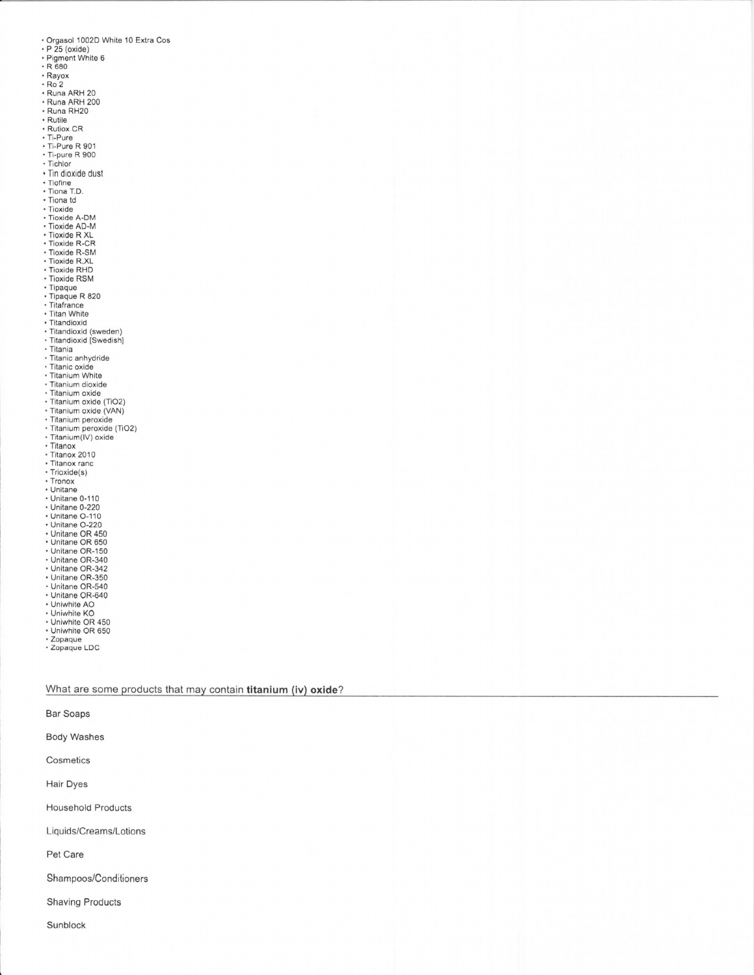- Orgasol 1002D White 10 Extra Cos<br>• P 25 (oxide)
- 
- $\cdot$  Pigment White 6<br> $\cdot$  R 680
- 
- $Rayox$
- $Ro<sub>2</sub>$
- Ruz<br>Runa ARH 20<br>Runa ARH 200
- 
- · Runa RH20
- · Rutile Rutiox CR<br>Ti-Pure
- 
- 
- Ti-Pure R 901<br>- Ti-pure R 900<br>- Tichlor
- 
- · Tin dioxide dust
- Trinidioxide<br>Tiofine<br>Tiona T.D.
- · Tiona td
- $\cdot$  Tioxide
- 
- Tioxide A-DM<br>• Tioxide AD-M<br>• Tioxide R XL
- 
- · Tioxide R-CR
- · Tioxide R-SM<br>· Tioxide R.XL
- · Tioxide RHD
- · Tioxide RSM
- Tipaque
- · Tipaque R 820
- · Titafrance<br>· Titan White
- · Titandioxid
- · Titandioxid (sweden)
- Titandioxid [Swedish]<br>- Titania<br>- Titanic anhydride
- 
- 
- 
- · Titanic oxide<br>· Titanium White
- · Titanium dioxide
- · Titanium oxide
- 
- Titanium oxide<br>- Titanium oxide (TiO2)<br>- Titanium oxide (VAN)
- · Titanium peroxide
- Titanium peroxide (TiO2)<br>- Titanium (IV) oxide<br>- Titan
- · Titanox
- · Titanox 2010
- · Titanox ranc
- · Trioxide(s)
- Tronox
- 
- + Unitane<br>+ Unitane 0-110
- · Unitane 0-220
- + Unitane O-110<br>+ Unitane O-220
- 
- 
- Unitane OR 450<br>• Unitane OR 650<br>• Unitane OR-150
- · Unitane OR-340
- 
- Unitane OR-342<br>• Unitane OR-350<br>• Unitane OR-540
- · Unitane OR-640
- Uniwhite AO
- 
- Uniwhite KO<br>• Uniwhite OR 450
- · Uniwhite OR 650
- \* Zopaque<br>\* Zopaque LDC

### What are some products that may contain titanium (iv) oxide?

**Bar Soaps** 

**Body Washes** 

Cosmetics

Hair Dyes

**Household Products** 

Liquids/Creams/Lotions

Pet Care

Shampoos/Conditioners

**Shaving Products**